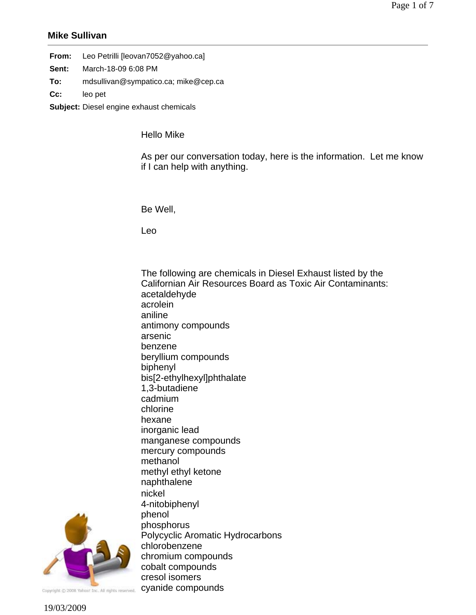## **Mike Sullivan**

| Leo Petrilli [leovan7052@yahoo.ca] |
|------------------------------------|
|                                    |

- **Sent:** March-18-09 6:08 PM
- **To:** mdsullivan@sympatico.ca; mike@cep.ca
- **Cc:** leo pet
- **Subject:** Diesel engine exhaust chemicals

Hello Mike

As per our conversation today, here is the information. Let me know if I can help with anything.

Be Well,

Leo

The following are chemicals in Diesel Exhaust listed by the Californian Air Resources Board as Toxic Air Contaminants: acetaldehyde acrolein aniline antimony compounds arsenic benzene beryllium compounds biphenyl bis[2-ethylhexyl]phthalate 1,3-butadiene cadmium chlorine hexane inorganic lead manganese compounds mercury compounds methanol methyl ethyl ketone naphthalene nickel 4-nitobiphenyl phenol phosphorus Polycyclic Aromatic Hydrocarbons chlorobenzene chromium compounds cobalt compounds cresol isomers



cyanide compoundsCopyright @ 2008 Yahoo! Inc. All rights reserved.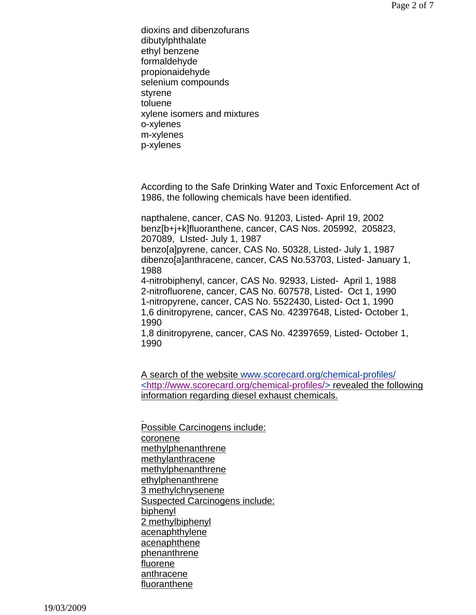dioxins and dibenzofurans dibutylphthalate ethyl benzene formaldehyde propionaidehyde selenium compounds styrene toluene xylene isomers and mixtures o-xylenes m-xylenes p-xylenes

According to the Safe Drinking Water and Toxic Enforcement Act of 1986, the following chemicals have been identified.

napthalene, cancer, CAS No. 91203, Listed- April 19, 2002 benz[b+j+k]fluoranthene, cancer, CAS Nos. 205992, 205823, 207089, LIsted- July 1, 1987 benzo[a]pyrene, cancer, CAS No. 50328, Listed- July 1, 1987 dibenzo[a]anthracene, cancer, CAS No.53703, Listed- January 1, 1988

4-nitrobiphenyl, cancer, CAS No. 92933, Listed- April 1, 1988 2-nitrofluorene, cancer, CAS No. 607578, Listed- Oct 1, 1990 1-nitropyrene, cancer, CAS No. 5522430, Listed- Oct 1, 1990 1,6 dinitropyrene, cancer, CAS No. 42397648, Listed- October 1, 1990

1,8 dinitropyrene, cancer, CAS No. 42397659, Listed- October 1, 1990

A search of the website www.scorecard.org/chemical-profiles/ <http://www.scorecard.org/chemical-profiles/> revealed the following information regarding diesel exhaust chemicals.

l, Possible Carcinogens include: coronene methylphenanthrene methylanthracene methylphenanthrene ethylphenanthrene 3 methylchrysenene Suspected Carcinogens include: biphenyl 2 methylbiphenyl acenaphthylene acenaphthene phenanthrene fluorene anthracene fluoranthene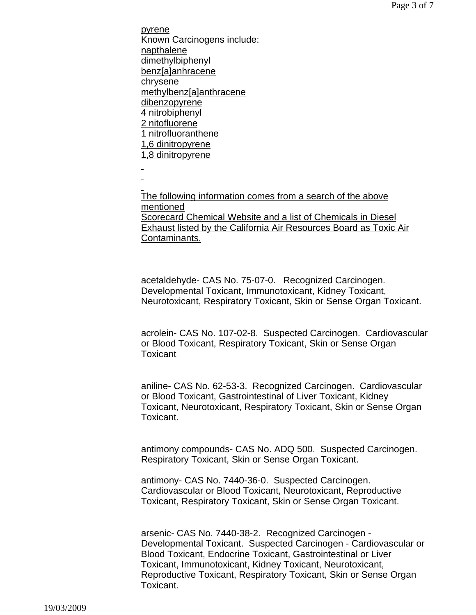pyrene Known Carcinogens include: napthalene dimethylbiphenyl benz[a]anhracene chrysene methylbenz[a]anthracene dibenzopyrene 4 nitrobiphenyl 2 nitofluorene 1 nitrofluoranthene 1,6 dinitropyrene 1,8 dinitropyrene j. l,

l, The following information comes from a search of the above mentioned Scorecard Chemical Website and a list of Chemicals in Diesel Exhaust listed by the California Air Resources Board as Toxic Air Contaminants.

acetaldehyde- CAS No. 75-07-0. Recognized Carcinogen. Developmental Toxicant, Immunotoxicant, Kidney Toxicant, Neurotoxicant, Respiratory Toxicant, Skin or Sense Organ Toxicant.

acrolein- CAS No. 107-02-8. Suspected Carcinogen. Cardiovascular or Blood Toxicant, Respiratory Toxicant, Skin or Sense Organ **Toxicant** 

aniline- CAS No. 62-53-3. Recognized Carcinogen. Cardiovascular or Blood Toxicant, Gastrointestinal of Liver Toxicant, Kidney Toxicant, Neurotoxicant, Respiratory Toxicant, Skin or Sense Organ Toxicant.

antimony compounds- CAS No. ADQ 500. Suspected Carcinogen. Respiratory Toxicant, Skin or Sense Organ Toxicant.

antimony- CAS No. 7440-36-0. Suspected Carcinogen. Cardiovascular or Blood Toxicant, Neurotoxicant, Reproductive Toxicant, Respiratory Toxicant, Skin or Sense Organ Toxicant.

arsenic- CAS No. 7440-38-2. Recognized Carcinogen - Developmental Toxicant. Suspected Carcinogen - Cardiovascular or Blood Toxicant, Endocrine Toxicant, Gastrointestinal or Liver Toxicant, Immunotoxicant, Kidney Toxicant, Neurotoxicant, Reproductive Toxicant, Respiratory Toxicant, Skin or Sense Organ Toxicant.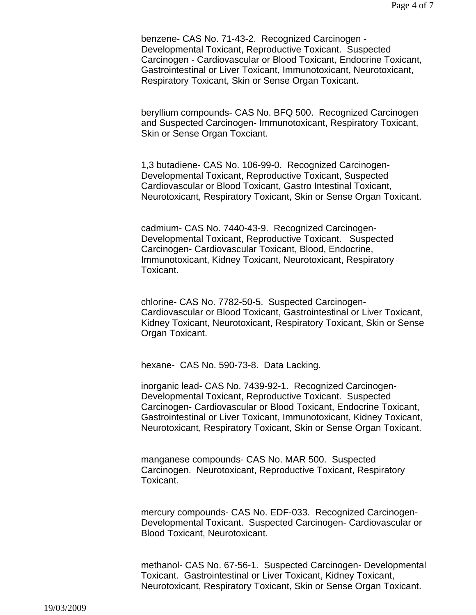benzene- CAS No. 71-43-2. Recognized Carcinogen - Developmental Toxicant, Reproductive Toxicant. Suspected Carcinogen - Cardiovascular or Blood Toxicant, Endocrine Toxicant, Gastrointestinal or Liver Toxicant, Immunotoxicant, Neurotoxicant, Respiratory Toxicant, Skin or Sense Organ Toxicant.

beryllium compounds- CAS No. BFQ 500. Recognized Carcinogen and Suspected Carcinogen- Immunotoxicant, Respiratory Toxicant, Skin or Sense Organ Toxciant.

1,3 butadiene- CAS No. 106-99-0. Recognized Carcinogen-Developmental Toxicant, Reproductive Toxicant, Suspected Cardiovascular or Blood Toxicant, Gastro Intestinal Toxicant, Neurotoxicant, Respiratory Toxicant, Skin or Sense Organ Toxicant.

cadmium- CAS No. 7440-43-9. Recognized Carcinogen-Developmental Toxicant, Reproductive Toxicant. Suspected Carcinogen- Cardiovascular Toxicant, Blood, Endocrine, Immunotoxicant, Kidney Toxicant, Neurotoxicant, Respiratory Toxicant.

chlorine- CAS No. 7782-50-5. Suspected Carcinogen-Cardiovascular or Blood Toxicant, Gastrointestinal or Liver Toxicant, Kidney Toxicant, Neurotoxicant, Respiratory Toxicant, Skin or Sense Organ Toxicant.

hexane- CAS No. 590-73-8. Data Lacking.

inorganic lead- CAS No. 7439-92-1. Recognized Carcinogen-Developmental Toxicant, Reproductive Toxicant. Suspected Carcinogen- Cardiovascular or Blood Toxicant, Endocrine Toxicant, Gastrointestinal or Liver Toxicant, Immunotoxicant, Kidney Toxicant, Neurotoxicant, Respiratory Toxicant, Skin or Sense Organ Toxicant.

manganese compounds- CAS No. MAR 500. Suspected Carcinogen. Neurotoxicant, Reproductive Toxicant, Respiratory Toxicant.

mercury compounds- CAS No. EDF-033. Recognized Carcinogen-Developmental Toxicant. Suspected Carcinogen- Cardiovascular or Blood Toxicant, Neurotoxicant.

methanol- CAS No. 67-56-1. Suspected Carcinogen- Developmental Toxicant. Gastrointestinal or Liver Toxicant, Kidney Toxicant, Neurotoxicant, Respiratory Toxicant, Skin or Sense Organ Toxicant.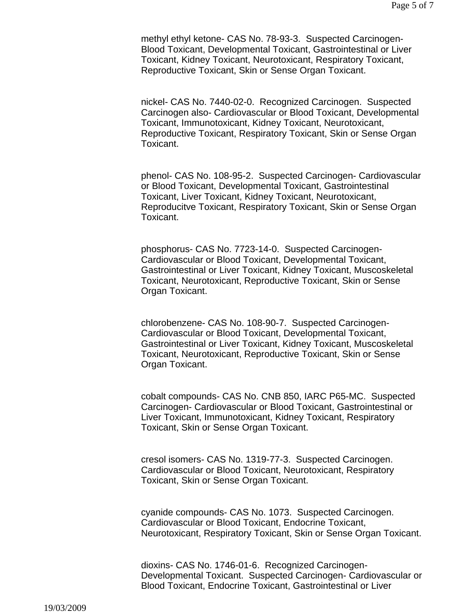methyl ethyl ketone- CAS No. 78-93-3. Suspected Carcinogen-Blood Toxicant, Developmental Toxicant, Gastrointestinal or Liver Toxicant, Kidney Toxicant, Neurotoxicant, Respiratory Toxicant, Reproductive Toxicant, Skin or Sense Organ Toxicant.

nickel- CAS No. 7440-02-0. Recognized Carcinogen. Suspected Carcinogen also- Cardiovascular or Blood Toxicant, Developmental Toxicant, Immunotoxicant, Kidney Toxicant, Neurotoxicant, Reproductive Toxicant, Respiratory Toxicant, Skin or Sense Organ Toxicant.

phenol- CAS No. 108-95-2. Suspected Carcinogen- Cardiovascular or Blood Toxicant, Developmental Toxicant, Gastrointestinal Toxicant, Liver Toxicant, Kidney Toxicant, Neurotoxicant, Reproducitve Toxicant, Respiratory Toxicant, Skin or Sense Organ Toxicant.

phosphorus- CAS No. 7723-14-0. Suspected Carcinogen-Cardiovascular or Blood Toxicant, Developmental Toxicant, Gastrointestinal or Liver Toxicant, Kidney Toxicant, Muscoskeletal Toxicant, Neurotoxicant, Reproductive Toxicant, Skin or Sense Organ Toxicant.

chlorobenzene- CAS No. 108-90-7. Suspected Carcinogen-Cardiovascular or Blood Toxicant, Developmental Toxicant, Gastrointestinal or Liver Toxicant, Kidney Toxicant, Muscoskeletal Toxicant, Neurotoxicant, Reproductive Toxicant, Skin or Sense Organ Toxicant.

cobalt compounds- CAS No. CNB 850, IARC P65-MC. Suspected Carcinogen- Cardiovascular or Blood Toxicant, Gastrointestinal or Liver Toxicant, Immunotoxicant, Kidney Toxicant, Respiratory Toxicant, Skin or Sense Organ Toxicant.

cresol isomers- CAS No. 1319-77-3. Suspected Carcinogen. Cardiovascular or Blood Toxicant, Neurotoxicant, Respiratory Toxicant, Skin or Sense Organ Toxicant.

cyanide compounds- CAS No. 1073. Suspected Carcinogen. Cardiovascular or Blood Toxicant, Endocrine Toxicant, Neurotoxicant, Respiratory Toxicant, Skin or Sense Organ Toxicant.

dioxins- CAS No. 1746-01-6. Recognized Carcinogen-Developmental Toxicant. Suspected Carcinogen- Cardiovascular or Blood Toxicant, Endocrine Toxicant, Gastrointestinal or Liver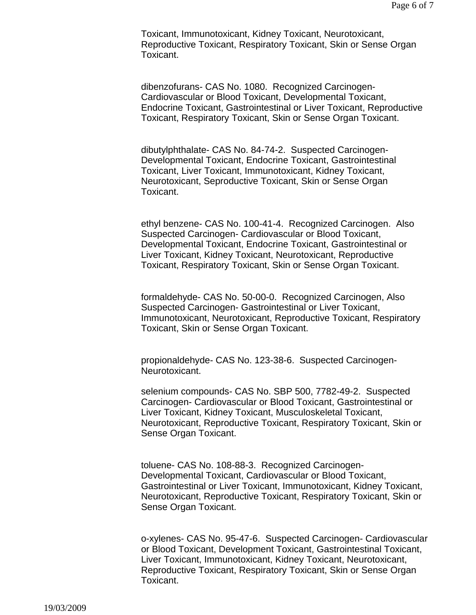Toxicant, Immunotoxicant, Kidney Toxicant, Neurotoxicant, Reproductive Toxicant, Respiratory Toxicant, Skin or Sense Organ Toxicant.

dibenzofurans- CAS No. 1080. Recognized Carcinogen-Cardiovascular or Blood Toxicant, Developmental Toxicant, Endocrine Toxicant, Gastrointestinal or Liver Toxicant, Reproductive Toxicant, Respiratory Toxicant, Skin or Sense Organ Toxicant.

dibutylphthalate- CAS No. 84-74-2. Suspected Carcinogen-Developmental Toxicant, Endocrine Toxicant, Gastrointestinal Toxicant, Liver Toxicant, Immunotoxicant, Kidney Toxicant, Neurotoxicant, Seproductive Toxicant, Skin or Sense Organ Toxicant.

ethyl benzene- CAS No. 100-41-4. Recognized Carcinogen. Also Suspected Carcinogen- Cardiovascular or Blood Toxicant, Developmental Toxicant, Endocrine Toxicant, Gastrointestinal or Liver Toxicant, Kidney Toxicant, Neurotoxicant, Reproductive Toxicant, Respiratory Toxicant, Skin or Sense Organ Toxicant.

formaldehyde- CAS No. 50-00-0. Recognized Carcinogen, Also Suspected Carcinogen- Gastrointestinal or Liver Toxicant, Immunotoxicant, Neurotoxicant, Reproductive Toxicant, Respiratory Toxicant, Skin or Sense Organ Toxicant.

propionaldehyde- CAS No. 123-38-6. Suspected Carcinogen-Neurotoxicant.

selenium compounds- CAS No. SBP 500, 7782-49-2. Suspected Carcinogen- Cardiovascular or Blood Toxicant, Gastrointestinal or Liver Toxicant, Kidney Toxicant, Musculoskeletal Toxicant, Neurotoxicant, Reproductive Toxicant, Respiratory Toxicant, Skin or Sense Organ Toxicant.

toluene- CAS No. 108-88-3. Recognized Carcinogen-Developmental Toxicant, Cardiovascular or Blood Toxicant, Gastrointestinal or Liver Toxicant, Immunotoxicant, Kidney Toxicant, Neurotoxicant, Reproductive Toxicant, Respiratory Toxicant, Skin or Sense Organ Toxicant.

o-xylenes- CAS No. 95-47-6. Suspected Carcinogen- Cardiovascular or Blood Toxicant, Development Toxicant, Gastrointestinal Toxicant, Liver Toxicant, Immunotoxicant, Kidney Toxicant, Neurotoxicant, Reproductive Toxicant, Respiratory Toxicant, Skin or Sense Organ Toxicant.